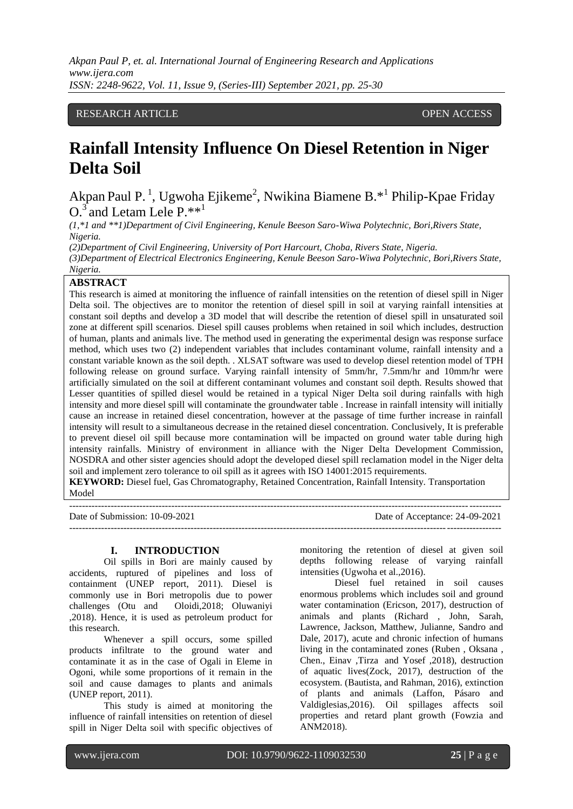## RESEARCH ARTICLE **CONSERVERS** OPEN ACCESS

## **Rainfall Intensity Influence On Diesel Retention in Niger Delta Soil**

Akpan Paul P.<sup>1</sup>, Ugwoha Ejikeme<sup>2</sup>, Nwikina Biamene B.<sup>\*1</sup> Philip-Kpae Friday  $O^3$  and Letam Lele P.\*\*<sup>1</sup>

*(1,\*1 and \*\*1)Department of Civil Engineering, Kenule Beeson Saro-Wiwa Polytechnic, Bori,Rivers State, Nigeria.*

*(2)Department of Civil Engineering, University of Port Harcourt, Choba, Rivers State, Nigeria.*

*(3)Department of Electrical Electronics Engineering, Kenule Beeson Saro-Wiwa Polytechnic, Bori,Rivers State, Nigeria.*

## **ABSTRACT**

This research is aimed at monitoring the influence of rainfall intensities on the retention of diesel spill in Niger Delta soil. The objectives are to monitor the retention of diesel spill in soil at varying rainfall intensities at constant soil depths and develop a 3D model that will describe the retention of diesel spill in unsaturated soil zone at different spill scenarios. Diesel spill causes problems when retained in soil which includes, destruction of human, plants and animals live. The method used in generating the experimental design was response surface method, which uses two (2) independent variables that includes contaminant volume, rainfall intensity and a constant variable known as the soil depth. . XLSAT software was used to develop diesel retention model of TPH following release on ground surface. Varying rainfall intensity of 5mm/hr, 7.5mm/hr and 10mm/hr were artificially simulated on the soil at different contaminant volumes and constant soil depth. Results showed that Lesser quantities of spilled diesel would be retained in a typical Niger Delta soil during rainfalls with high intensity and more diesel spill will contaminate the groundwater table . Increase in rainfall intensity will initially cause an increase in retained diesel concentration, however at the passage of time further increase in rainfall intensity will result to a simultaneous decrease in the retained diesel concentration. Conclusively, It is preferable to prevent diesel oil spill because more contamination will be impacted on ground water table during high intensity rainfalls. Ministry of environment in alliance with the Niger Delta Development Commission, NOSDRA and other sister agencies should adopt the developed diesel spill reclamation model in the Niger delta soil and implement zero tolerance to oil spill as it agrees with ISO 14001:2015 requirements.

**KEYWORD:** Diesel fuel, Gas Chromatography, Retained Concentration, Rainfall Intensity. Transportation Model

--------------------------------------------------------------------------------------------------------------------------------------- Date of Submission: 10-09-2021 Date of Acceptance: 24-09-2021 ---------------------------------------------------------------------------------------------------------------------------------------

#### **I. INTRODUCTION**

Oil spills in Bori are mainly caused by accidents, ruptured of pipelines and loss of containment (UNEP report, 2011). Diesel is commonly use in Bori metropolis due to power challenges (Otu and Oloidi,2018; Oluwaniyi ,2018). Hence, it is used as petroleum product for this research.

Whenever a spill occurs, some spilled products infiltrate to the ground water and contaminate it as in the case of Ogali in Eleme in Ogoni, while some proportions of it remain in the soil and cause damages to plants and animals (UNEP report, 2011).

This study is aimed at monitoring the influence of rainfall intensities on retention of diesel spill in Niger Delta soil with specific objectives of monitoring the retention of diesel at given soil depths following release of varying rainfall intensities (Ugwoha et al.,2016).

Diesel fuel retained in soil causes enormous problems which includes soil and ground water contamination (Ericson, 2017), destruction of animals and plants (Richard , John, Sarah, Lawrence, Jackson, Matthew, Julianne, Sandro and Dale, 2017), acute and chronic infection of humans living in the contaminated zones [\(Ruben ,](https://www.tandfonline.com/author/Girsowicz%2C+Ruben) [Oksana ,](https://www.tandfonline.com/author/Koryachenko%2C+Oksana) [Chen.,](https://www.tandfonline.com/author/Sherman%2C+Chen) [Einav](https://www.tandfonline.com/author/Mayzlish-Gati%2C+Einav) [,Tirza](https://www.tandfonline.com/author/Doniger%2C+Tirza) and [Yosef ,](https://www.tandfonline.com/author/Steinberger%2C+Yosef)2018), destruction of aquatic lives(Zock, 2017), destruction of the ecosystem. (Bautista, and Rahman, 2016), extinction of plants and animals (Laffon, Pásaro and Valdiglesias,2016). Oil spillages affects soil properties and retard plant growth (Fowzia and ANM2018).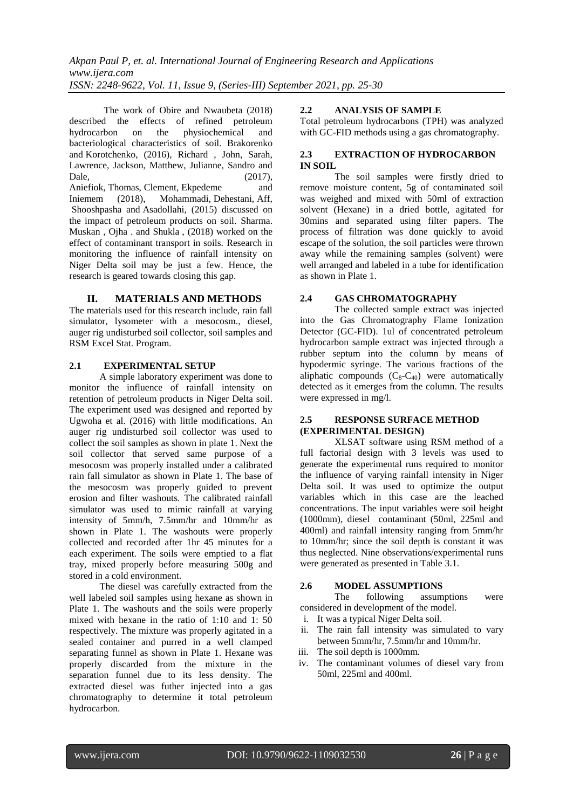The work of Obire and Nwaubeta (2018) described the effects of refined petroleum hydrocarbon on the physiochemical and bacteriological characteristics of soil. Brakorenko and Korotchenko, (2016), Richard , John, Sarah, Lawrence, Jackson, Matthew, Julianne, Sandro and Dale, (2017), Aniefiok, Thomas, Clement, Ekpedeme and Iniemem (2018), [Mohammadi,](https://ascelibrary.org/author/Mohammadi%2C+A) [Dehestani,](https://ascelibrary.org/author/Dehestani%2C+M) Aff, [Shooshpasha](https://ascelibrary.org/author/Shooshpasha%2C+I) and [Asadollahi,](https://ascelibrary.org/author/Asadollahi%2C+S) (2015) discussed on the impact of petroleum products on soil. Sharma. Muskan , Ojha . and Shukla , (2018) worked on the effect of contaminant transport in soils. Research in monitoring the influence of rainfall intensity on Niger Delta soil may be just a few. Hence, the research is geared towards closing this gap.

#### **II. MATERIALS AND METHODS**

The materials used for this research include, rain fall simulator, lysometer with a mesocosm., diesel, auger rig undisturbed soil collector, soil samples and RSM Excel Stat. Program.

## **2.1 EXPERIMENTAL SETUP**

A simple laboratory experiment was done to monitor the influence of rainfall intensity on retention of petroleum products in Niger Delta soil. The experiment used was designed and reported by Ugwoha et al. (2016) with little modifications. An auger rig undisturbed soil collector was used to collect the soil samples as shown in plate 1. Next the soil collector that served same purpose of a mesocosm was properly installed under a calibrated rain fall simulator as shown in Plate 1. The base of the mesocosm was properly guided to prevent erosion and filter washouts. The calibrated rainfall simulator was used to mimic rainfall at varying intensity of 5mm/h, 7.5mm/hr and 10mm/hr as shown in Plate 1. The washouts were properly collected and recorded after 1hr 45 minutes for a each experiment. The soils were emptied to a flat tray, mixed properly before measuring 500g and stored in a cold environment.

The diesel was carefully extracted from the well labeled soil samples using hexane as shown in Plate 1. The washouts and the soils were properly mixed with hexane in the ratio of 1:10 and 1: 50 respectively. The mixture was properly agitated in a sealed container and purred in a well clamped separating funnel as shown in Plate 1. Hexane was properly discarded from the mixture in the separation funnel due to its less density. The extracted diesel was futher injected into a gas chromatography to determine it total petroleum hydrocarbon.

#### **2.2 ANALYSIS OF SAMPLE**

Total petroleum hydrocarbons (TPH) was analyzed with GC-FID methods using a gas chromatography.

## **2.3 EXTRACTION OF HYDROCARBON IN SOIL**

The soil samples were firstly dried to remove moisture content, 5g of contaminated soil was weighed and mixed with 50ml of extraction solvent (Hexane) in a dried bottle, agitated for 30mins and separated using filter papers. The process of filtration was done quickly to avoid escape of the solution, the soil particles were thrown away while the remaining samples (solvent) were well arranged and labeled in a tube for identification as shown in Plate 1.

#### **2.4 GAS CHROMATOGRAPHY**

The collected sample extract was injected into the Gas Chromatography Flame Ionization Detector (GC-FID). 1ul of concentrated petroleum hydrocarbon sample extract was injected through a rubber septum into the column by means of hypodermic syringe. The various fractions of the aliphatic compounds  $(C_8-C_{40})$  were automatically detected as it emerges from the column. The results were expressed in mg/l.

## **2.5 RESPONSE SURFACE METHOD (EXPERIMENTAL DESIGN)**

XLSAT software using RSM method of a full factorial design with 3 levels was used to generate the experimental runs required to monitor the influence of varying rainfall intensity in Niger Delta soil. It was used to optimize the output variables which in this case are the leached concentrations. The input variables were soil height (1000mm), diesel contaminant (50ml, 225ml and 400ml) and rainfall intensity ranging from 5mm/hr to 10mm/hr; since the soil depth is constant it was thus neglected. Nine observations/experimental runs were generated as presented in Table 3.1.

#### **2.6 MODEL ASSUMPTIONS**

The following assumptions were considered in development of the model.

- i. It was a typical Niger Delta soil.
- ii. The rain fall intensity was simulated to vary between 5mm/hr, 7.5mm/hr and 10mm/hr.
- iii. The soil depth is 1000mm.
- iv. The contaminant volumes of diesel vary from 50ml, 225ml and 400ml.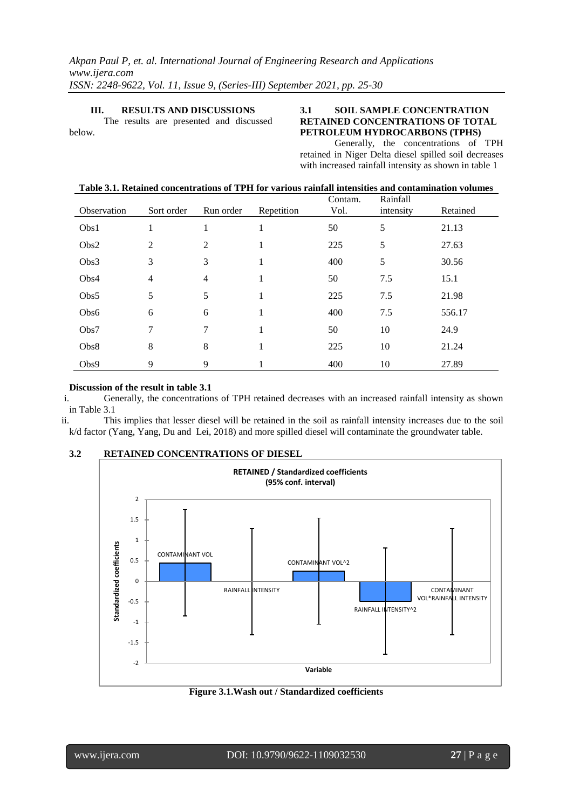#### **III. RESULTS AND DISCUSSIONS**

The results are presented and discussed below.

## **3.1 SOIL SAMPLE CONCENTRATION RETAINED CONCENTRATIONS OF TOTAL PETROLEUM HYDROCARBONS (TPHS)**

Generally, the concentrations of TPH retained in Niger Delta diesel spilled soil decreases with increased rainfall intensity as shown in table 1

| Observation | Sort order     | Run order      | Repetition | Contam.<br>Vol. | Rainfall<br>intensity | Retained |
|-------------|----------------|----------------|------------|-----------------|-----------------------|----------|
| Obs1        | 1              | 1              | 1          | 50              | 5                     | 21.13    |
| Obs2        | $\overline{2}$ | 2              |            | 225             | 5                     | 27.63    |
| Obs3        | 3              | 3              | 1          | 400             | 5                     | 30.56    |
| Obs4        | $\overline{4}$ | $\overline{4}$ | 1          | 50              | 7.5                   | 15.1     |
| Obs5        | 5              | 5              | 1          | 225             | 7.5                   | 21.98    |
| Obs6        | 6              | 6              | 1          | 400             | 7.5                   | 556.17   |
| Obs7        | 7              | 7              | 1          | 50              | 10                    | 24.9     |
| Obs8        | 8              | 8              | 1          | 225             | 10                    | 21.24    |
| Obs9        | 9              | 9              |            | 400             | 10                    | 27.89    |

#### **Discussion of the result in table 3.1**

i. Generally, the concentrations of TPH retained decreases with an increased rainfall intensity as shown in Table 3.1

ii. This implies that lesser diesel will be retained in the soil as rainfall intensity increases due to the soil k/d factor [\(Yang,](https://www.researchgate.net/scientific-contributions/2087860346_M_Yang) [Yang,](https://www.researchgate.net/profile/Yuesuo_Yang) [Du](https://www.researchgate.net/profile/Xinqiang_Du) and [Lei,](https://www.researchgate.net/scientific-contributions/2068225539_Y_Lei) 2018) and more spilled diesel will contaminate the groundwater table.

## **3.2 RETAINED CONCENTRATIONS OF DIESEL**



**Figure 3.1.Wash out / Standardized coefficients**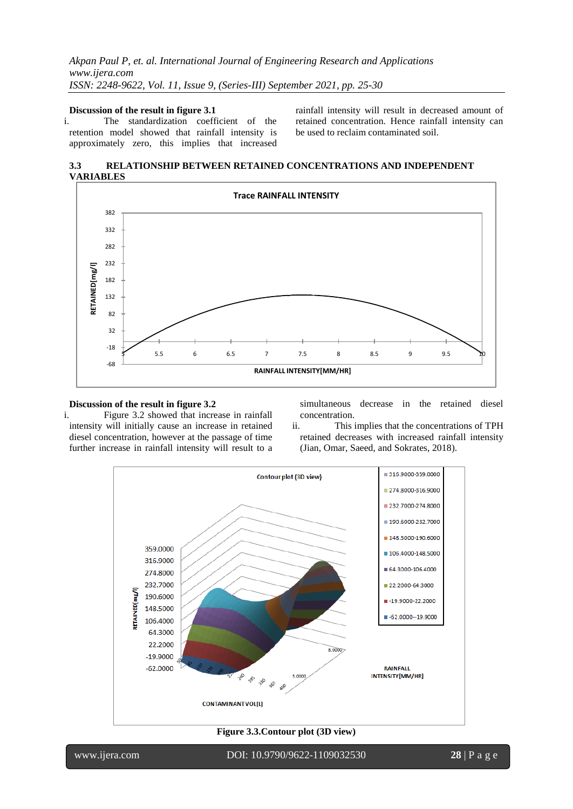#### **Discussion of the result in figure 3.1**

i. The standardization coefficient of the retention model showed that rainfall intensity is approximately zero, this implies that increased

rainfall intensity will result in decreased amount of retained concentration. Hence rainfall intensity can be used to reclaim contaminated soil.

**3.3 RELATIONSHIP BETWEEN RETAINED CONCENTRATIONS AND INDEPENDENT VARIABLES**



# **Discussion of the result in figure 3.2**<br>i. Figure 3.2 showed that increases

simultaneous decrease in the retained diesel concentration.

Figure 3.2 showed that increase in rainfall intensity will initially cause an increase in retained diesel concentration, however at the passage of time further increase in rainfall intensity will result to a

ii. This implies that the concentrations of TPH retained decreases with increased rainfall intensity (Jian, Omar, Saeed, and Sokrates, 2018).



## **Figure 3.3.Contour plot (3D view)**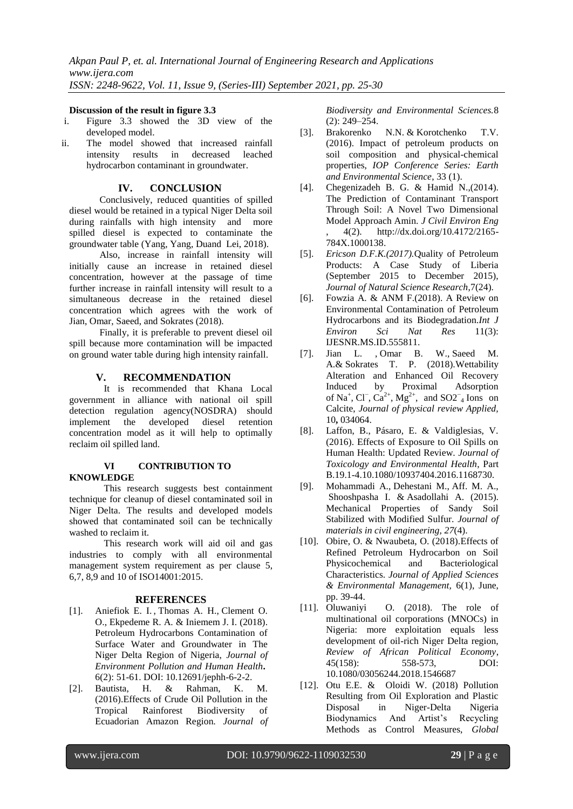#### **Discussion of the result in figure 3.3**

- i. Figure 3.3 showed the 3D view of the developed model.
- ii. The model showed that increased rainfall intensity results in decreased leached hydrocarbon contaminant in groundwater.

## **IV. CONCLUSION**

Conclusively, reduced quantities of spilled diesel would be retained in a typical Niger Delta soil during rainfalls with high intensity and more spilled diesel is expected to contaminate the groundwater table [\(Yang,](https://www.researchgate.net/scientific-contributions/2087860346_M_Yang) [Yang,](https://www.researchgate.net/profile/Yuesuo_Yang) [Dua](https://www.researchgate.net/profile/Xinqiang_Du)nd [Lei,](https://www.researchgate.net/scientific-contributions/2068225539_Y_Lei) 2018).

Also, increase in rainfall intensity will initially cause an increase in retained diesel concentration, however at the passage of time further increase in rainfall intensity will result to a simultaneous decrease in the retained diesel concentration which agrees with the work of Jian, Omar, Saeed, and Sokrates (2018).

Finally, it is preferable to prevent diesel oil spill because more contamination will be impacted on ground water table during high intensity rainfall.

#### **V. RECOMMENDATION**

It is recommended that Khana Local government in alliance with national oil spill detection regulation agency(NOSDRA) should implement the developed diesel retention concentration model as it will help to optimally reclaim oil spilled land.

## **VI CONTRIBUTION TO KNOWLEDGE**

This research suggests best containment technique for cleanup of diesel contaminated soil in Niger Delta. The results and developed models showed that contaminated soil can be technically washed to reclaim it.

This research work will aid oil and gas industries to comply with all environmental management system requirement as per clause 5, 6,7, 8,9 and 10 of ISO14001:2015.

## **REFERENCES**

- [1]. Aniefiok E. I. [,](http://pubs.sciepub.com/jephh/6/2/2/#Cor) Thomas A. H., Clement O. O., Ekpedeme R. A. & Iniemem J. I. (2018). Petroleum Hydrocarbons Contamination of Surface Water and Groundwater in The Niger Delta Region of Nigeria, *Journal of Environment Pollution and Human Health***.** 6(2): 51-61. DOI: 10.12691/jephh-6-2-2.
- [2]. Bautista, H. & Rahman, K. M. (2016).Effects of Crude Oil Pollution in the Tropical Rainforest Biodiversity of Ecuadorian Amazon Region*. Journal of*

*Biodiversity and Environmental Sciences.*8 (2): 249–254.

- [3]. Brakorenko N.N. & Korotchenko T.V. (2016). Impact of petroleum products on soil composition and physical-chemical properties, *[IOP Conference Series: Earth](http://iopscience.iop.org/journal/1755-1315)  [and Environmental Science](http://iopscience.iop.org/journal/1755-1315)*, [33](http://iopscience.iop.org/volume/1755-1315/33) (1).
- [4]. Chegenizadeh B. G. & Hamid N.,(2014). The Prediction of Contaminant Transport Through Soil: A Novel Two Dimensional Model Approach Amin. *J Civil Environ Eng* , 4(2). [http://dx.doi.org/10.4172/2165-](http://dx.doi.org/10.4172/2165-784X.1000138) [784X.1000138.](http://dx.doi.org/10.4172/2165-784X.1000138)
- [5]. *Ericson D.F.K.(2017).*Quality of Petroleum Products: A Case Study of Liberia (September 2015 to December 2015), *Journal of Natural Science Research*,7(24).
- [6]. Fowzia A. & ANM F.(2018). A Review on Environmental Contamination of Petroleum Hydrocarbons and its Biodegradation.*Int J Environ Sci Nat Res* 11(3): IJESNR.MS.ID.555811.
- [7]. Jian L. , Omar B. W., Saeed M. A.& Sokrates T. P. (2018).Wettability Alteration and Enhanced Oil Recovery Induced by Proximal Adsorption of Na<sup>+</sup>, Cl<sup>−</sup>, Ca<sup>2+</sup>, Mg<sup>2+</sup>, and SO2<sup>−</sup><sub>4</sub> Ions on Calcite, *Journal of physical review Applied,*  10**,** 034064.
- [8]. Laffon, B., Pásaro, E. & Valdiglesias, V. (2016). Effects of Exposure to Oil Spills on Human Health: Updated Review. *Journal of Toxicology and Environmental Health*, Part B.19.1-4.10.1080/10937404.2016.1168730.
- [9]. [Mohammadi](https://ascelibrary.org/author/Mohammadi%2C+A) A., [Dehestani](https://ascelibrary.org/author/Dehestani%2C+M) M., Aff. M. A., [Shooshpasha](https://ascelibrary.org/author/Shooshpasha%2C+I) I. & [Asadollahi](https://ascelibrary.org/author/Asadollahi%2C+S) A. (2015). Mechanical Properties of Sandy Soil Stabilized with Modified Sulfur. *Journal of materials in civil engineering, 27*(4).
- [10]. Obire, O. & Nwaubeta, O. (2018).Effects of Refined Petroleum Hydrocarbon on Soil Physicochemical and Bacteriological Characteristics. *Journal of Applied Sciences & Environmental Management,* 6(1), June, pp. 39-44.
- [11]. Oluwaniyi O. (2018). The role of multinational oil corporations (MNOCs) in Nigeria: more exploitation equals less development of oil-rich Niger Delta region, *Review of African Political Economy*, 45(158): 558-573, DOI: 10.1080/03056244.2018.1546687
- [12]. Otu E.E. & Oloidi W. (2018) Pollution Resulting from Oil Exploration and Plastic Disposal in Niger-Delta Nigeria Biodynamics And Artist's Recycling Methods as Control Measures, *Global*